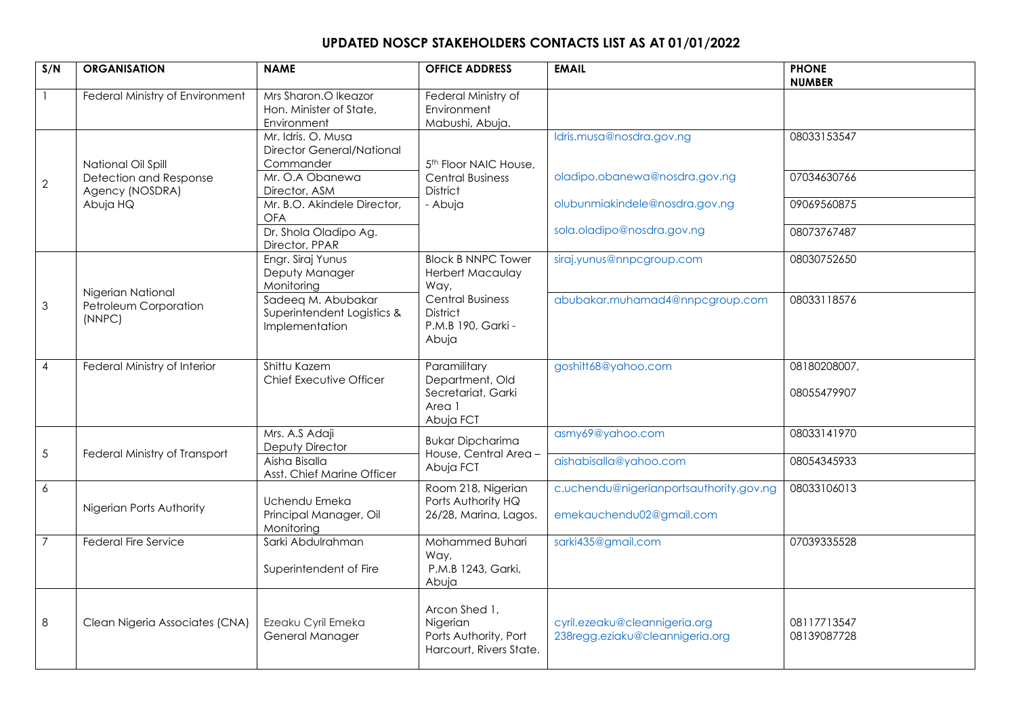## **UPDATED NOSCP STAKEHOLDERS CONTACTS LIST AS AT 01/01/2022**

| S/N                       | <b>ORGANISATION</b>                                  | <b>NAME</b>                                                         | <b>OFFICE ADDRESS</b>                                                         | <b>EMAIL</b>                                                        | <b>PHONE</b><br><b>NUMBER</b> |
|---------------------------|------------------------------------------------------|---------------------------------------------------------------------|-------------------------------------------------------------------------------|---------------------------------------------------------------------|-------------------------------|
|                           | Federal Ministry of Environment                      | Mrs Sharon.O Ikeazor<br>Hon. Minister of State,<br>Environment      | Federal Ministry of<br>Environment<br>Mabushi, Abuja.                         |                                                                     |                               |
|                           | National Oil Spill                                   | Mr. Idris. O. Musa<br><b>Director General/National</b><br>Commander | 5 <sup>th</sup> Floor NAIC House,                                             | Idris.musa@nosdra.gov.ng                                            | 08033153547                   |
| $\mathbf{2}$              | Detection and Response<br>Agency (NOSDRA)            | Mr. O.A Obanewa<br>Director, ASM                                    | <b>Central Business</b><br><b>District</b>                                    | oladipo.obanewa@nosdra.gov.ng                                       | 07034630766                   |
|                           | Abuja HQ                                             | Mr. B.O. Akindele Director,<br><b>OFA</b>                           | - Abuja                                                                       | olubunmiakindele@nosdra.gov.ng                                      | 09069560875                   |
|                           |                                                      | Dr. Shola Oladipo Ag.<br>Director, PPAR                             |                                                                               | sola.oladipo@nosdra.gov.ng                                          | 08073767487                   |
|                           |                                                      | Engr. Siraj Yunus<br>Deputy Manager<br>Monitoring                   | <b>Block B NNPC Tower</b><br>Herbert Macaulay<br>Way,                         | siraj.yunus@nnpcgroup.com                                           | 08030752650                   |
| $\ensuremath{\mathsf{3}}$ | Nigerian National<br>Petroleum Corporation<br>(NNPC) | Sadeeq M. Abubakar<br>Superintendent Logistics &<br>Implementation  | <b>Central Business</b><br><b>District</b><br>P.M.B 190, Garki -<br>Abuja     | abubakar.muhamad4@nnpcgroup.com                                     | 08033118576                   |
| $\overline{4}$            | Federal Ministry of Interior                         | Shittu Kazem<br>Chief Executive Officer                             | Paramilitary<br>Department, Old<br>Secretariat, Garki<br>Area 1<br>Abuja FCT  | goshitt68@yahoo.com                                                 | 08180208007,<br>08055479907   |
| $\sqrt{5}$                | Federal Ministry of Transport                        | Mrs. A.S Adaji<br>Deputy Director                                   | <b>Bukar Dipcharima</b><br>House, Central Area -                              | asmy69@yahoo.com                                                    | 08033141970                   |
|                           |                                                      | Aisha Bisalla<br>Asst. Chief Marine Officer                         | Abuja FCT                                                                     | aishabisalla@yahoo.com                                              | 08054345933                   |
| $\overline{6}$            | Nigerian Ports Authority                             | Uchendu Emeka<br>Principal Manager, Oil<br>Monitoring               | Room 218, Nigerian<br>Ports Authority HQ<br>26/28, Marina, Lagos.             | c.uchendu@nigerianportsauthority.gov.ng<br>emekauchendu02@gmail.com | 08033106013                   |
| $\overline{7}$            | <b>Federal Fire Service</b>                          | Sarki Abdulrahman<br>Superintendent of Fire                         | Mohammed Buhari<br>Way,<br>P.M.B 1243, Garki,<br>Abuja                        | sarki435@gmail.com                                                  | 07039335528                   |
| 8                         | Clean Nigeria Associates (CNA)                       | Ezeaku Cyril Emeka<br>General Manager                               | Arcon Shed 1,<br>Nigerian<br>Ports Authority, Port<br>Harcourt, Rivers State. | cyril.ezeaku@cleannigeria.org<br>238regg.eziaku@cleannigeria.org    | 08117713547<br>08139087728    |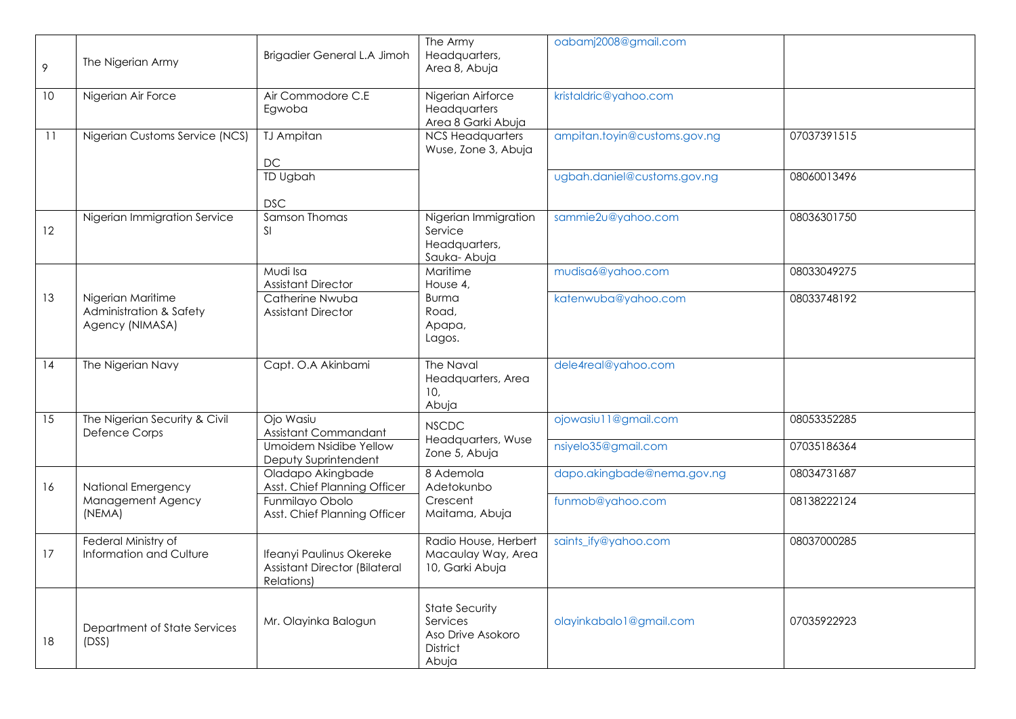| 9  | The Nigerian Army                                               | Brigadier General L.A Jimoh                                                           | The Army<br>Headquarters,<br>Area 8, Abuja                                         | oabamj2008@gmail.com         |             |
|----|-----------------------------------------------------------------|---------------------------------------------------------------------------------------|------------------------------------------------------------------------------------|------------------------------|-------------|
| 10 | Nigerian Air Force                                              | Air Commodore C.E<br>Egwoba                                                           | Nigerian Airforce<br>Headquarters<br>Area 8 Garki Abuja                            | kristaldric@yahoo.com        |             |
| 11 | Nigerian Customs Service (NCS)                                  | <b>TJ Ampitan</b><br>$DC$                                                             | <b>NCS Headquarters</b><br>Wuse, Zone 3, Abuja                                     | ampitan.toyin@customs.gov.ng | 07037391515 |
|    |                                                                 | TD Ugbah<br><b>DSC</b>                                                                |                                                                                    | ugbah.daniel@customs.gov.ng  | 08060013496 |
| 12 | Nigerian Immigration Service                                    | Samson Thomas<br><sup>SI</sup>                                                        | Nigerian Immigration<br>Service<br>Headquarters,<br>Sauka-Abuja                    | sammie2u@yahoo.com           | 08036301750 |
|    |                                                                 | Mudi Isa<br><b>Assistant Director</b>                                                 | Maritime<br>House 4,                                                               | mudisa6@yahoo.com            | 08033049275 |
| 13 | Nigerian Maritime<br>Administration & Safety<br>Agency (NIMASA) | Catherine Nwuba<br><b>Assistant Director</b>                                          | <b>Burma</b><br>Road,<br>Apapa,<br>Lagos.                                          | katenwuba@yahoo.com          | 08033748192 |
| 14 | The Nigerian Navy                                               | Capt. O.A Akinbami                                                                    | The Naval<br>Headquarters, Area<br>10,<br>Abuja                                    | dele4real@yahoo.com          |             |
| 15 | The Nigerian Security & Civil<br>Defence Corps                  | Ojo Wasiu<br>Assistant Commandant                                                     | <b>NSCDC</b>                                                                       | ojowasiu11@gmail.com         | 08053352285 |
|    |                                                                 | <b>Umoidem Nsidibe Yellow</b><br>Deputy Suprintendent                                 | Headquarters, Wuse<br>Zone 5, Abuja                                                | nsiyelo35@gmail.com          | 07035186364 |
| 16 | National Emergency                                              | Oladapo Akingbade<br>Asst. Chief Planning Officer                                     | 8 Ademola<br>Adetokunbo                                                            | dapo.akingbade@nema.gov.ng   | 08034731687 |
|    | Management Agency<br>(NEMA)                                     | Funmilayo Obolo<br>Asst. Chief Planning Officer                                       | Crescent<br>Maitama, Abuja                                                         | funmob@yahoo.com             | 08138222124 |
| 17 | Federal Ministry of<br>Information and Culture                  | Ifeanyi Paulinus Okereke<br><b>Assistant Director (Bilateral</b><br><b>Relations)</b> | Radio House, Herbert<br>Macaulay Way, Area<br>10, Garki Abuja                      | saints_ify@yahoo.com         | 08037000285 |
| 18 | Department of State Services<br>(DSS)                           | Mr. Olayinka Balogun                                                                  | <b>State Security</b><br>Services<br>Aso Drive Asokoro<br><b>District</b><br>Abuja | olayinkabalo1@gmail.com      | 07035922923 |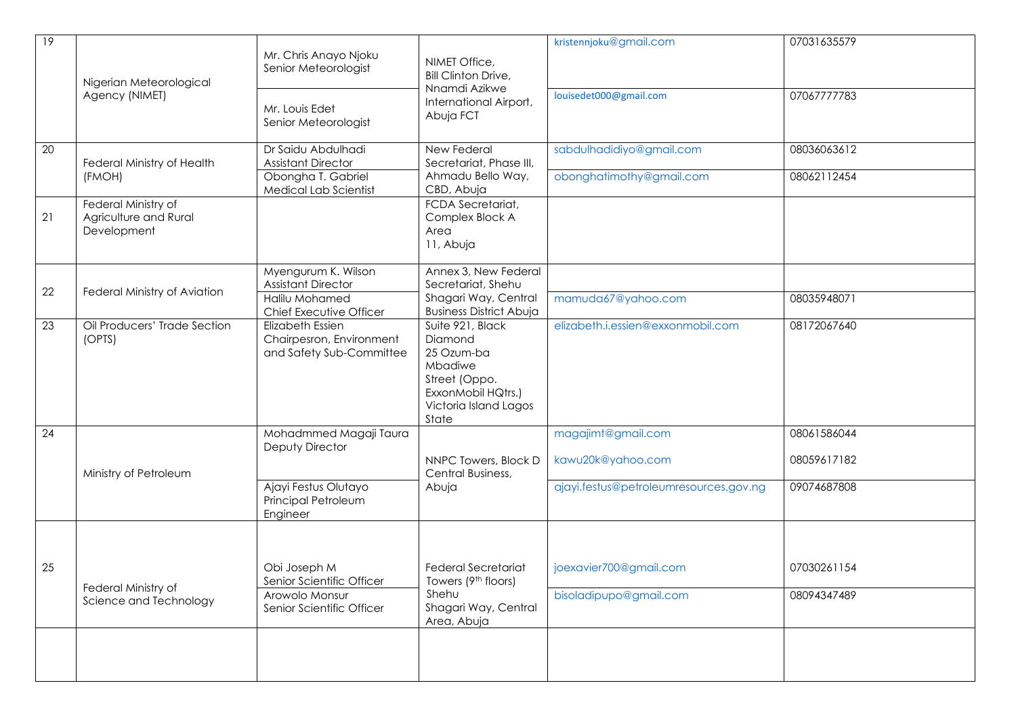| 9  | Nigerian Meteorological<br>Agency (NIMET)                   | Mr. Chris Anayo Njoku<br>Senior Meteorologist                                   | NIMET Office,<br><b>Bill Clinton Drive,</b><br>Nnamdi Azikwe<br>International Airport,<br>Abuja FCT                           | kristennjoku@gmail.com<br>louisedet000@gmail.com     | 07031635579<br>07067777783 |
|----|-------------------------------------------------------------|---------------------------------------------------------------------------------|-------------------------------------------------------------------------------------------------------------------------------|------------------------------------------------------|----------------------------|
|    |                                                             | Mr. Louis Edet<br>Senior Meteorologist                                          |                                                                                                                               |                                                      |                            |
| 20 | Federal Ministry of Health<br>(FMOH)                        | Dr Saidu Abdulhadi<br><b>Assistant Director</b><br>Obongha T. Gabriel           | New Federal<br>Secretariat, Phase III,<br>Ahmadu Bello Way,                                                                   | sabdulhadidiyo@gmail.com<br>obonghatimothy@gmail.com | 08036063612<br>08062112454 |
|    |                                                             | Medical Lab Scientist                                                           | CBD, Abuja                                                                                                                    |                                                      |                            |
| 21 | Federal Ministry of<br>Agriculture and Rural<br>Development |                                                                                 | FCDA Secretariat,<br>Complex Block A<br>Area<br>11, Abuja                                                                     |                                                      |                            |
|    |                                                             | Myengurum K. Wilson<br><b>Assistant Director</b>                                | Annex 3, New Federal<br>Secretariat, Shehu                                                                                    |                                                      |                            |
| 22 | Federal Ministry of Aviation                                | Halilu Mohamed<br>Chief Executive Officer                                       | Shagari Way, Central<br><b>Business District Abuja</b>                                                                        | mamuda67@yahoo.com                                   | 08035948071                |
| 23 | Oil Producers' Trade Section<br>(OPTS)                      | <b>Elizabeth Essien</b><br>Chairpesron, Environment<br>and Safety Sub-Committee | Suite 921, Black<br>Diamond<br>25 Ozum-ba<br>Mbadiwe<br>Street (Oppo.<br>ExxonMobil HQtrs.)<br>Victoria Island Lagos<br>State | elizabeth.i.essien@exxonmobil.com                    | 08172067640                |
| 24 |                                                             | Mohadmmed Magaji Taura<br>Deputy Director                                       |                                                                                                                               | magajimt@gmail.com                                   | 08061586044                |
|    | Ministry of Petroleum                                       |                                                                                 | NNPC Towers, Block D<br>Central Business,<br>Abuja                                                                            | kawu20k@yahoo.com                                    | 08059617182                |
|    |                                                             | Ajayi Festus Olutayo<br>Principal Petroleum<br>Engineer                         |                                                                                                                               | ajayi.festus@petroleumresources.gov.ng               | 09074687808                |
|    |                                                             |                                                                                 |                                                                                                                               |                                                      |                            |
| 25 | Federal Ministry of                                         | Obi Joseph M<br>Senior Scientific Officer                                       | <b>Federal Secretariat</b><br>Towers (9th floors)                                                                             | joexavier700@gmail.com                               | 07030261154                |
|    | Science and Technology                                      | Arowolo Monsur<br>Senior Scientific Officer                                     | Shehu<br>Shagari Way, Central<br>Area, Abuja                                                                                  | bisoladipupo@gmail.com                               | 08094347489                |
|    |                                                             |                                                                                 |                                                                                                                               |                                                      |                            |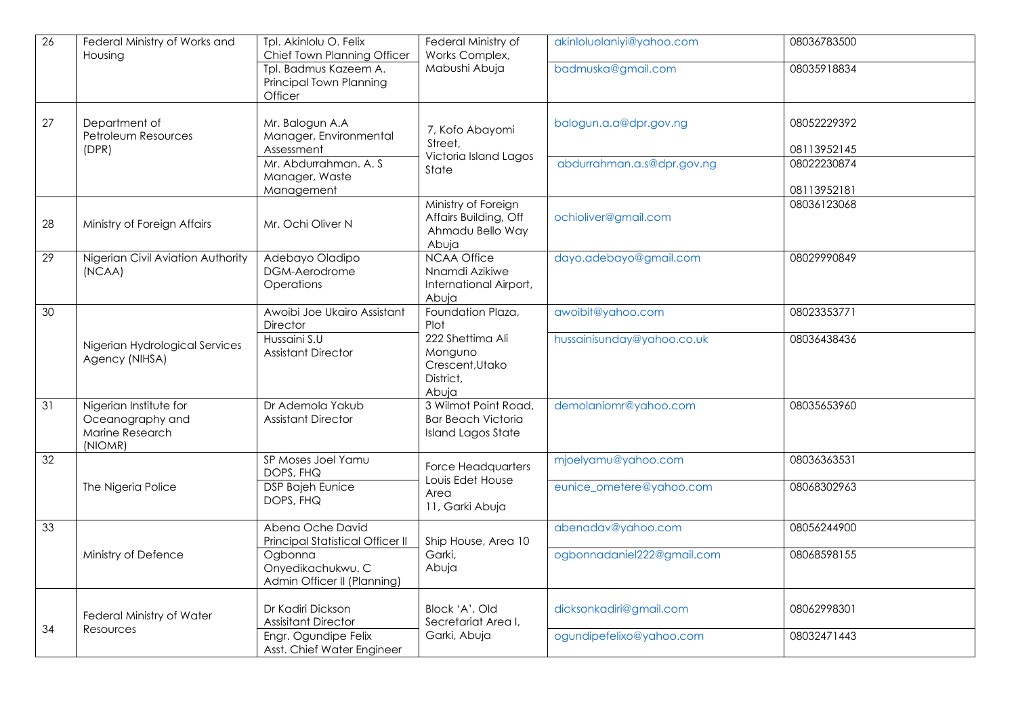| 26 | Federal Ministry of Works and<br>Housing                                 | Tpl. Akinlolu O. Felix<br>Chief Town Planning Officer       | Federal Ministry of<br>Works Complex,                                          | akinloluolaniyi@yahoo.com  | 08036783500                |
|----|--------------------------------------------------------------------------|-------------------------------------------------------------|--------------------------------------------------------------------------------|----------------------------|----------------------------|
|    |                                                                          | Tpl. Badmus Kazeem A.<br>Principal Town Planning<br>Officer | Mabushi Abuja                                                                  | badmuska@gmail.com         | 08035918834                |
| 27 | Department of<br>Petroleum Resources<br>(DPR)                            | Mr. Balogun A.A<br>Manager, Environmental<br>Assessment     | 7, Kofo Abayomi<br>Street,                                                     | balogun.a.a@dpr.gov.ng     | 08052229392<br>08113952145 |
|    |                                                                          | Mr. Abdurrahman. A. S.<br>Manager, Waste<br>Management      | Victoria Island Lagos<br>State                                                 | abdurrahman.a.s@dpr.gov.ng | 08022230874<br>08113952181 |
| 28 | Ministry of Foreign Affairs                                              | Mr. Ochi Oliver N                                           | Ministry of Foreign<br>Affairs Building, Off<br>Ahmadu Bello Way<br>Abuja      | ochioliver@gmail.com       | 08036123068                |
| 29 | Nigerian Civil Aviation Authority<br>(NCAA)                              | Adebayo Oladipo<br>DGM-Aerodrome<br>Operations              | <b>NCAA Office</b><br>Nnamdi Azikiwe<br>International Airport,<br>Abuja        | dayo.adebayo@gmail.com     | 08029990849                |
| 30 |                                                                          | Awoibi Joe Ukairo Assistant<br>Director                     | Foundation Plaza,<br>Plot                                                      | awoibit@yahoo.com          | 08023353771                |
|    | Nigerian Hydrological Services<br>Agency (NIHSA)                         | Hussaini S.U<br><b>Assistant Director</b>                   | 222 Shettima Ali<br>Monguno<br>Crescent, Utako<br>District,<br>Abuja           | hussainisunday@yahoo.co.uk | 08036438436                |
| 31 | Nigerian Institute for<br>Oceanography and<br>Marine Research<br>(NIOMR) | Dr Ademola Yakub<br>Assistant Director                      | 3 Wilmot Point Road,<br><b>Bar Beach Victoria</b><br><b>Island Lagos State</b> | demolaniomr@yahoo.com      | 08035653960                |
| 32 |                                                                          | SP Moses Joel Yamu<br>DOPS, FHQ                             | Force Headquarters                                                             | mjoelyamu@yahoo.com        | 08036363531                |
|    | The Nigeria Police                                                       | <b>DSP Bajeh Eunice</b><br>DOPS, FHQ                        | Louis Edet House<br>Area<br>11, Garki Abuja                                    | eunice_ometere@yahoo.com   | 08068302963                |
| 33 |                                                                          | Abena Oche David<br>Principal Statistical Officer II        | Ship House, Area 10                                                            | abenadav@yahoo.com         | 08056244900                |
|    | Ministry of Defence                                                      | Ogbonna<br>Onyedikachukwu. C<br>Admin Officer II (Planning) | Garki,<br>Abuja                                                                | ogbonnadaniel222@gmail.com | 08068598155                |
| 34 | Federal Ministry of Water<br>Resources                                   | Dr Kadiri Dickson<br><b>Assisitant Director</b>             | Block 'A', Old<br>Secretariat Area I,                                          | dicksonkadiri@gmail.com    | 08062998301                |
|    |                                                                          | Engr. Ogundipe Felix<br>Asst. Chief Water Engineer          | Garki, Abuja                                                                   | ogundipefelixo@yahoo.com   | 08032471443                |